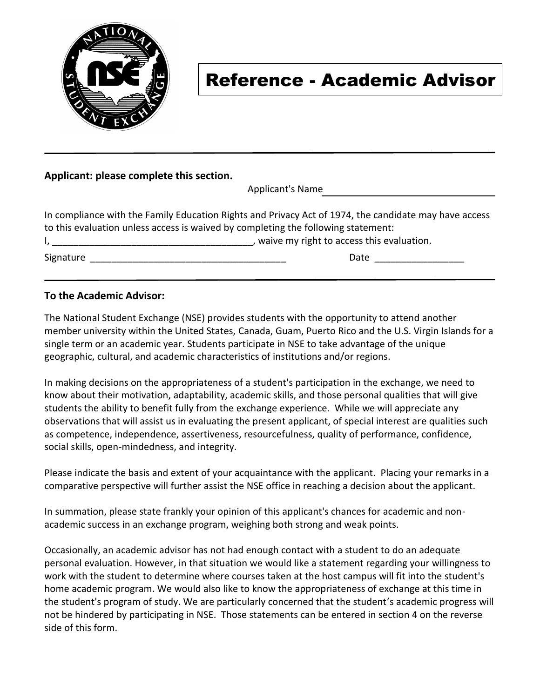

# Reference - Academic Advisor

#### **Applicant: please complete this section.**

Applicant's Name

| In compliance with the Family Education Rights and Privacy Act of 1974, the candidate may have access |                                           |  |  |  |  |
|-------------------------------------------------------------------------------------------------------|-------------------------------------------|--|--|--|--|
| to this evaluation unless access is waived by completing the following statement:                     |                                           |  |  |  |  |
|                                                                                                       | waive my right to access this evaluation. |  |  |  |  |
| Signature                                                                                             | Date                                      |  |  |  |  |

### **To the Academic Advisor:**

The National Student Exchange (NSE) provides students with the opportunity to attend another member university within the United States, Canada, Guam, Puerto Rico and the U.S. Virgin Islands for a single term or an academic year. Students participate in NSE to take advantage of the unique geographic, cultural, and academic characteristics of institutions and/or regions.

In making decisions on the appropriateness of a student's participation in the exchange, we need to know about their motivation, adaptability, academic skills, and those personal qualities that will give students the ability to benefit fully from the exchange experience. While we will appreciate any observations that will assist us in evaluating the present applicant, of special interest are qualities such as competence, independence, assertiveness, resourcefulness, quality of performance, confidence, social skills, open-mindedness, and integrity.

Please indicate the basis and extent of your acquaintance with the applicant. Placing your remarks in a comparative perspective will further assist the NSE office in reaching a decision about the applicant.

In summation, please state frankly your opinion of this applicant's chances for academic and nonacademic success in an exchange program, weighing both strong and weak points.

Occasionally, an academic advisor has not had enough contact with a student to do an adequate personal evaluation. However, in that situation we would like a statement regarding your willingness to work with the student to determine where courses taken at the host campus will fit into the student's home academic program. We would also like to know the appropriateness of exchange at this time in the student's program of study. We are particularly concerned that the student's academic progress will not be hindered by participating in NSE. Those statements can be entered in section 4 on the reverse side of this form.